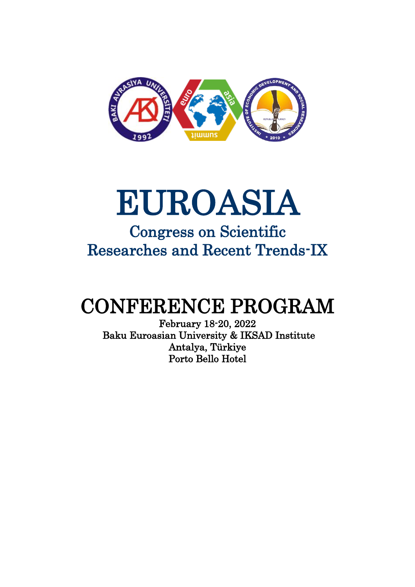

# EUROASIA

### Congress on Scientific Researches and Recent Trends-IX

### CONFERENCE PROGRAM

February 18-20, 2022 Baku Euroasian University & IKSAD Institute Antalya, Türkiye Porto Bello Hotel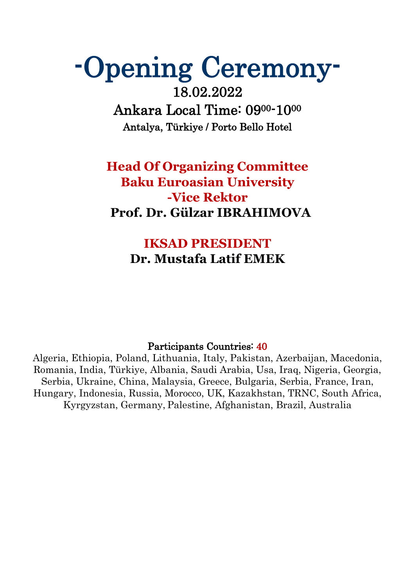## -Opening Ceremony-

18.02.2022 Ankara Local Time: 0900-10<sup>00</sup> Antalya, Türkiye / Porto Bello Hotel

### **Head Of Organizing Committee Baku Euroasian University -Vice Rektor Prof. Dr. Gülzar IBRAHIMOVA**

### **IKSAD PRESIDENT Dr. Mustafa Latif EMEK**

#### Participants Countries: 40

Algeria, Ethiopia, Poland, Lithuania, Italy, Pakistan, Azerbaijan, Macedonia, Romania, India, Türkiye, Albania, Saudi Arabia, Usa, Iraq, Nigeria, Georgia, Serbia, Ukraine, China, Malaysia, Greece, Bulgaria, Serbia, France, Iran, Hungary, Indonesia, Russia, Morocco, UK, Kazakhstan, TRNC, South Africa, Kyrgyzstan, Germany, Palestine, Afghanistan, Brazil, Australia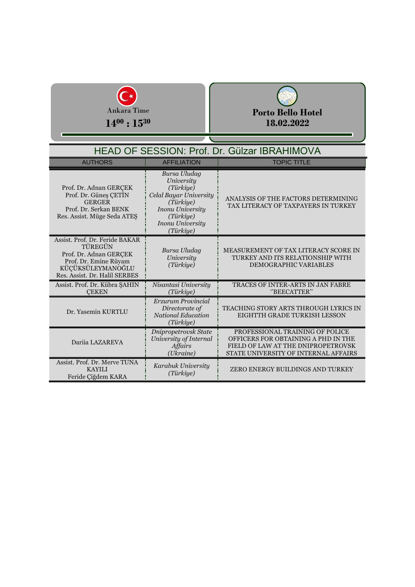



| HEAD OF SESSION: Prof. Dr. Gülzar IBRAHIMOVA                                                                                                       |                                                                                                                                                                |                                                                                                                                                      |
|----------------------------------------------------------------------------------------------------------------------------------------------------|----------------------------------------------------------------------------------------------------------------------------------------------------------------|------------------------------------------------------------------------------------------------------------------------------------------------------|
| <b>AUTHORS</b>                                                                                                                                     | <b>AFFILIATION</b>                                                                                                                                             | <b>TOPIC TITLE</b>                                                                                                                                   |
| Prof. Dr. Adnan GERCEK<br>Prof. Dr. Güneş ÇETİN<br><b>GERGER</b><br>Prof. Dr. Serkan BENK<br>Res. Assist. Müge Seda ATES                           | Bursa Uludag<br>University<br>(Türkiye)<br>Celal Bayar University<br>(Türkiye)<br><b>Inonu University</b><br>(Türkiye)<br><b>Inonu University</b><br>(Türkiye) | ANALYSIS OF THE FACTORS DETERMINING<br>TAX LITERACY OF TAXPAYERS IN TURKEY                                                                           |
| Assist. Prof. Dr. Feride BAKAR<br>TÜREGÜN<br>Prof. Dr. Adnan GERCEK<br>Prof. Dr. Emine Rüyam<br>KÜÇÜKSÜLEYMANOĞLU<br>Res. Assist. Dr. Halil SERBES | Bursa Uludag<br>University<br>(Türkiye)                                                                                                                        | MEASUREMENT OF TAX LITERACY SCORE IN<br>TURKEY AND ITS RELATIONSHIP WITH<br>DEMOGRAPHIC VARIABLES                                                    |
| Assist. Prof. Dr. Kübra ŞAHİN<br><b>CEKEN</b>                                                                                                      | Nisantasi University<br>(Türkiye)                                                                                                                              | TRACES OF INTER-ARTS IN JAN FABRE<br>"BEECATTER"                                                                                                     |
| Dr. Yasemin KURTLU                                                                                                                                 | Erzurum Provincial<br>Directorate of<br><b>National Education</b><br>(Türkiye)                                                                                 | TEACHING STORY ARTS THROUGH LYRICS IN<br>EIGHTTH GRADE TURKISH LESSON                                                                                |
| Darija LAZAREVA                                                                                                                                    | Dnipropetrovsk State<br>University of Internal<br><b>Affairs</b><br>(Ukraine)                                                                                  | PROFESSIONAL TRAINING OF POLICE<br>OFFICERS FOR OBTAINING A PHD IN THE<br>FIELD OF LAW AT THE DNIPROPETROVSK<br>STATE UNIVERSITY OF INTERNAL AFFAIRS |
| Assist. Prof. Dr. Merve TUNA<br><b>KAYILI</b><br>Feride Ciğdem KARA                                                                                | Karabuk University<br>(Türkiye)                                                                                                                                | ZERO ENERGY BUILDINGS AND TURKEY                                                                                                                     |